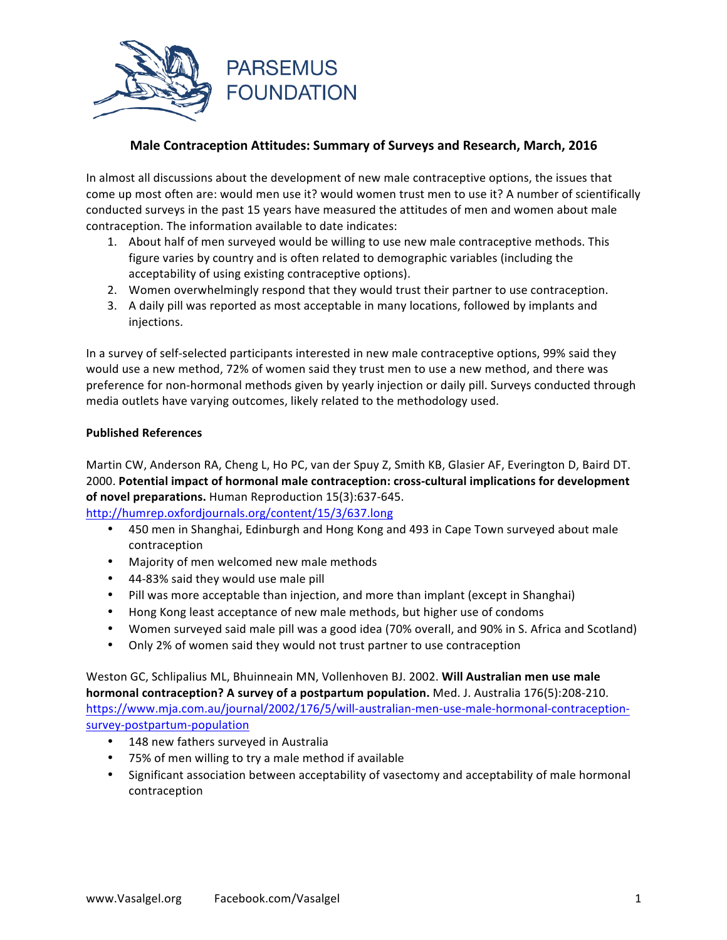

# **Male Contraception Attitudes: Summary of Surveys and Research, March, 2016**

In almost all discussions about the development of new male contraceptive options, the issues that come up most often are: would men use it? would women trust men to use it? A number of scientifically conducted surveys in the past 15 years have measured the attitudes of men and women about male contraception. The information available to date indicates:

- 1. About half of men surveyed would be willing to use new male contraceptive methods. This figure varies by country and is often related to demographic variables (including the acceptability of using existing contraceptive options).
- 2. Women overwhelmingly respond that they would trust their partner to use contraception.
- 3. A daily pill was reported as most acceptable in many locations, followed by implants and injections.

In a survey of self-selected participants interested in new male contraceptive options, 99% said they would use a new method, 72% of women said they trust men to use a new method, and there was preference for non-hormonal methods given by yearly injection or daily pill. Surveys conducted through media outlets have varying outcomes, likely related to the methodology used.

### **Published References**

Martin CW, Anderson RA, Cheng L, Ho PC, van der Spuy Z, Smith KB, Glasier AF, Everington D, Baird DT. 2000. Potential impact of hormonal male contraception: cross-cultural implications for development of novel preparations. Human Reproduction 15(3):637-645.

http://humrep.oxfordjournals.org/content/15/3/637.long

- 450 men in Shanghai, Edinburgh and Hong Kong and 493 in Cape Town surveyed about male contraception
- Majority of men welcomed new male methods
- 44-83% said they would use male pill
- Pill was more acceptable than injection, and more than implant (except in Shanghai)
- Hong Kong least acceptance of new male methods, but higher use of condoms
- Women surveyed said male pill was a good idea (70% overall, and 90% in S. Africa and Scotland)
- Only 2% of women said they would not trust partner to use contraception

Weston GC, Schlipalius ML, Bhuinneain MN, Vollenhoven BJ. 2002. Will Australian men use male **hormonal contraception? A survey of a postpartum population.** Med. J. Australia 176(5):208-210. https://www.mja.com.au/journal/2002/176/5/will-australian-men-use-male-hormonal-contraceptionsurvey-postpartum-population

- 148 new fathers surveyed in Australia
- 75% of men willing to try a male method if available
- Significant association between acceptability of vasectomy and acceptability of male hormonal contraception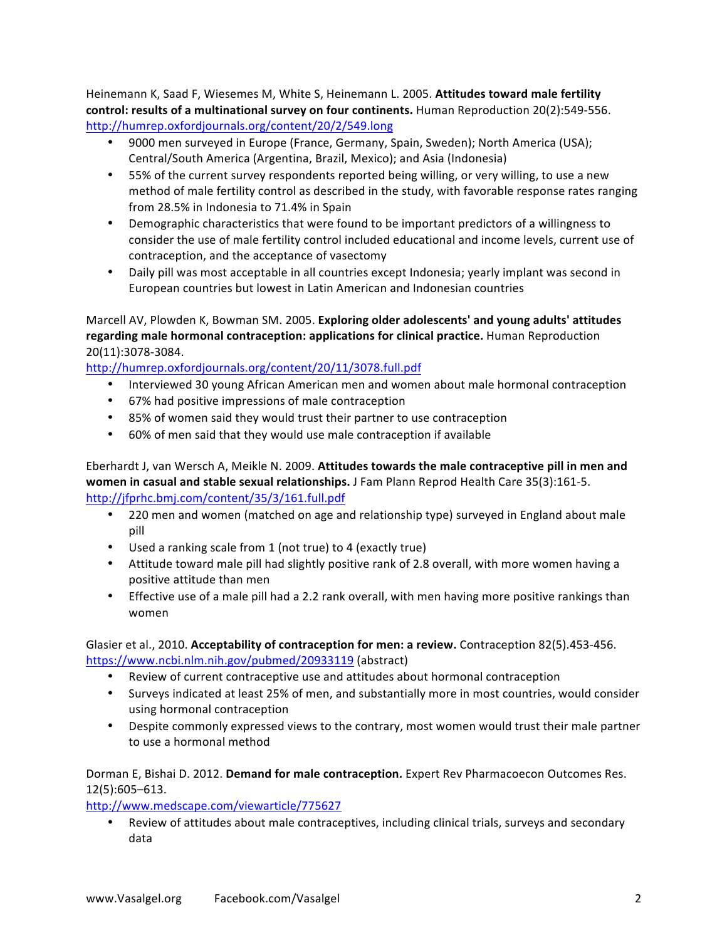Heinemann K, Saad F, Wiesemes M, White S, Heinemann L. 2005. **Attitudes toward male fertility** control: results of a multinational survey on four continents. Human Reproduction 20(2):549-556. http://humrep.oxfordjournals.org/content/20/2/549.long

- 9000 men surveyed in Europe (France, Germany, Spain, Sweden); North America (USA); Central/South America (Argentina, Brazil, Mexico); and Asia (Indonesia)
- 55% of the current survey respondents reported being willing, or very willing, to use a new method of male fertility control as described in the study, with favorable response rates ranging from 28.5% in Indonesia to 71.4% in Spain
- Demographic characteristics that were found to be important predictors of a willingness to consider the use of male fertility control included educational and income levels, current use of contraception, and the acceptance of vasectomy
- Daily pill was most acceptable in all countries except Indonesia; yearly implant was second in European countries but lowest in Latin American and Indonesian countries

# Marcell AV, Plowden K, Bowman SM. 2005. Exploring older adolescents' and young adults' attitudes regarding male hormonal contraception: applications for clinical practice. Human Reproduction 20(11):3078-3084.

http://humrep.oxfordjournals.org/content/20/11/3078.full.pdf

- Interviewed 30 young African American men and women about male hormonal contraception
- 67% had positive impressions of male contraception
- 85% of women said they would trust their partner to use contraception
- 60% of men said that they would use male contraception if available

Eberhardt J, van Wersch A, Meikle N. 2009. Attitudes towards the male contraceptive pill in men and **women in casual and stable sexual relationships.** J Fam Plann Reprod Health Care 35(3):161-5. http://jfprhc.bmj.com/content/35/3/161.full.pdf

- 220 men and women (matched on age and relationship type) surveyed in England about male pill
- Used a ranking scale from 1 (not true) to 4 (exactly true)
- Attitude toward male pill had slightly positive rank of 2.8 overall, with more women having a positive attitude than men
- Effective use of a male pill had a 2.2 rank overall, with men having more positive rankings than women

Glasier et al., 2010. Acceptability of contraception for men: a review. Contraception 82(5).453-456. https://www.ncbi.nlm.nih.gov/pubmed/20933119 (abstract)

- Review of current contraceptive use and attitudes about hormonal contraception
- Surveys indicated at least 25% of men, and substantially more in most countries, would consider using hormonal contraception
- Despite commonly expressed views to the contrary, most women would trust their male partner to use a hormonal method

Dorman E, Bishai D. 2012. **Demand for male contraception.** Expert Rev Pharmacoecon Outcomes Res. 12(5):605–613.

http://www.medscape.com/viewarticle/775627

• Review of attitudes about male contraceptives, including clinical trials, surveys and secondary data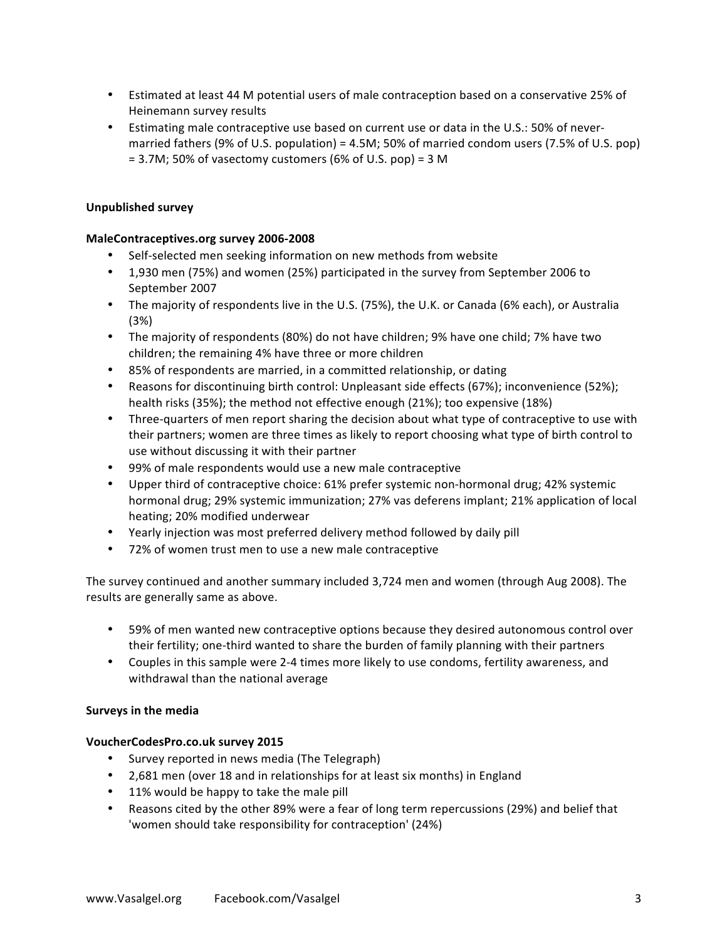- Estimated at least 44 M potential users of male contraception based on a conservative 25% of Heinemann survey results
- Estimating male contraceptive use based on current use or data in the U.S.: 50% of nevermarried fathers (9% of U.S. population) =  $4.5M$ ; 50% of married condom users (7.5% of U.S. pop)  $= 3.7M$ ; 50% of vasectomy customers (6% of U.S. pop) = 3 M

## **Unpublished survey**

## **MaleContraceptives.org survey 2006-2008**

- Self-selected men seeking information on new methods from website
- 1,930 men (75%) and women (25%) participated in the survey from September 2006 to September 2007
- The majority of respondents live in the U.S. (75%), the U.K. or Canada (6% each), or Australia (3%)
- The majority of respondents (80%) do not have children; 9% have one child; 7% have two children; the remaining 4% have three or more children
- 85% of respondents are married, in a committed relationship, or dating
- Reasons for discontinuing birth control: Unpleasant side effects (67%); inconvenience (52%); health risks (35%); the method not effective enough (21%); too expensive (18%)
- Three-quarters of men report sharing the decision about what type of contraceptive to use with their partners; women are three times as likely to report choosing what type of birth control to use without discussing it with their partner
- 99% of male respondents would use a new male contraceptive
- Upper third of contraceptive choice: 61% prefer systemic non-hormonal drug; 42% systemic hormonal drug; 29% systemic immunization; 27% vas deferens implant; 21% application of local heating; 20% modified underwear
- Yearly injection was most preferred delivery method followed by daily pill
- 72% of women trust men to use a new male contraceptive

The survey continued and another summary included 3,724 men and women (through Aug 2008). The results are generally same as above.

- 59% of men wanted new contraceptive options because they desired autonomous control over their fertility; one-third wanted to share the burden of family planning with their partners
- Couples in this sample were 2-4 times more likely to use condoms, fertility awareness, and withdrawal than the national average

### **Surveys in the media**

### **VoucherCodesPro.co.uk survey 2015**

- Survey reported in news media (The Telegraph)
- 2,681 men (over 18 and in relationships for at least six months) in England
- 11% would be happy to take the male pill
- Reasons cited by the other 89% were a fear of long term repercussions (29%) and belief that 'women should take responsibility for contraception' (24%)